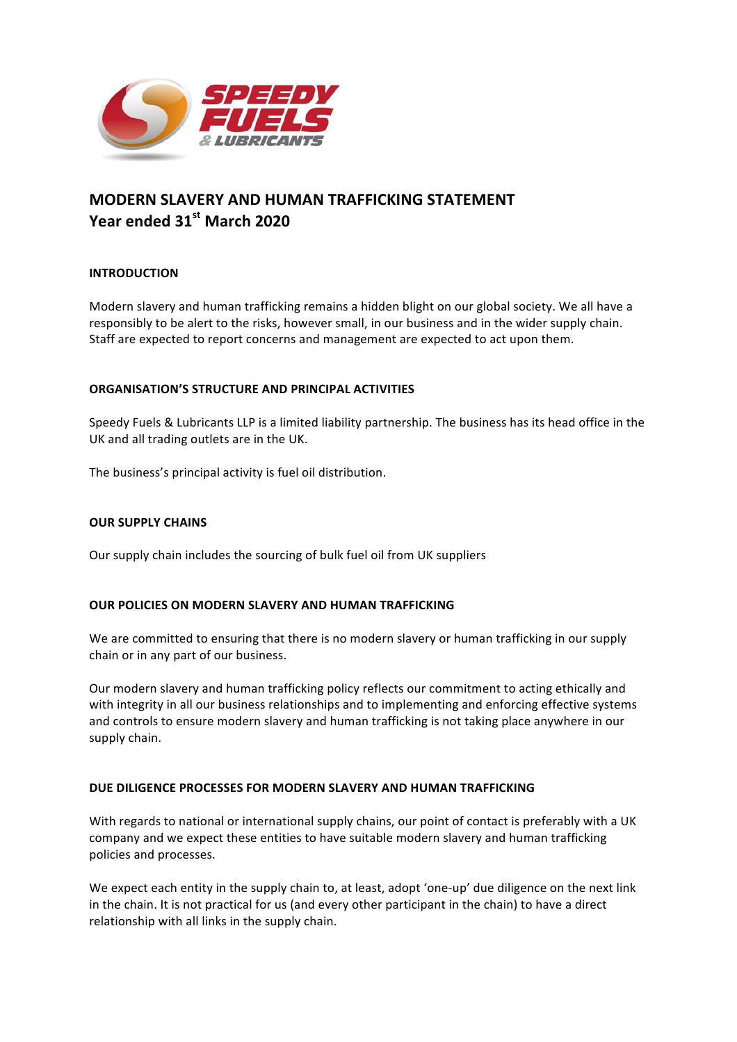

# **MODERN SLAVERY AND HUMAN TRAFFICKING STATEMENT Year ended 31st March 2020**

## **INTRODUCTION**

Modern slavery and human trafficking remains a hidden blight on our global society. We all have a responsibly to be alert to the risks, however small, in our business and in the wider supply chain. Staff are expected to report concerns and management are expected to act upon them.

### **ORGANISATION'S STRUCTURE AND PRINCIPAL ACTIVITIES**

Speedy Fuels & Lubricants LLP is a limited liability partnership. The business has its head office in the UK and all trading outlets are in the UK.

The business's principal activity is fuel oil distribution.

## **OUR SUPPLY CHAINS**

Our supply chain includes the sourcing of bulk fuel oil from UK suppliers

### **OUR POLICIES ON MODERN SLAVERY AND HUMAN TRAFFICKING**

We are committed to ensuring that there is no modern slavery or human trafficking in our supply chain or in any part of our business.

Our modern slavery and human trafficking policy reflects our commitment to acting ethically and with integrity in all our business relationships and to implementing and enforcing effective systems and controls to ensure modern slavery and human trafficking is not taking place anywhere in our supply chain.

### DUE DILIGENCE PROCESSES FOR MODERN SLAVERY AND HUMAN TRAFFICKING

With regards to national or international supply chains, our point of contact is preferably with a UK company and we expect these entities to have suitable modern slavery and human trafficking policies and processes.

We expect each entity in the supply chain to, at least, adopt 'one-up' due diligence on the next link in the chain. It is not practical for us (and every other participant in the chain) to have a direct relationship with all links in the supply chain.